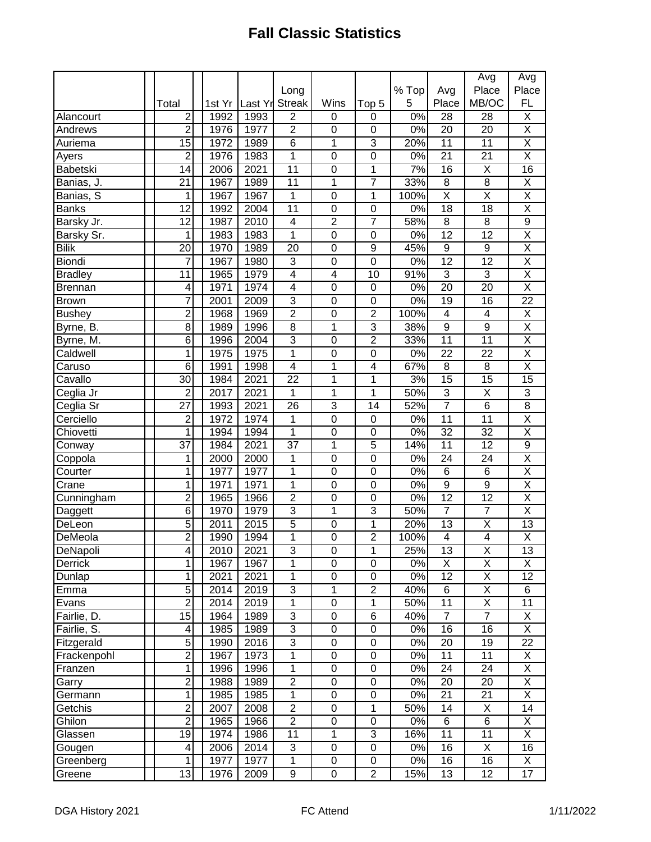## **Fall Classic Statistics**

|                |                 |        |         |                         |                  |                         |                  |                         | Avg                     | Avg                     |
|----------------|-----------------|--------|---------|-------------------------|------------------|-------------------------|------------------|-------------------------|-------------------------|-------------------------|
|                |                 |        |         | Long                    |                  |                         | % Top            | Avg                     | Place                   | Place                   |
|                | Total           | 1st Yr | Last Yr | <b>Streak</b>           | Wins             | Top 5                   | 5                | Place                   | MB/OC                   | FL                      |
| Alancourt      | $\overline{c}$  | 1992   | 1993    | $\overline{2}$          | 0                | 0                       | $\overline{0\%}$ | $\overline{28}$         | 28                      | $\overline{\mathsf{x}}$ |
| Andrews        | $\overline{2}$  | 1976   | 1977    | $\overline{2}$          | 0                | 0                       | $\overline{0\%}$ | $\overline{20}$         | $\overline{20}$         | $\overline{\mathsf{X}}$ |
| Auriema        | $\overline{15}$ | 1972   | 1989    | 6                       | 1                | 3                       | 20%              | 11                      | 11                      | $\overline{X}$          |
| Ayers          | 2               | 1976   | 1983    | 1                       | 0                | 0                       | 0%               | $\overline{21}$         | 21                      | $\overline{\mathsf{X}}$ |
| Babetski       | 14              | 2006   | 2021    | $\overline{11}$         | $\mathbf 0$      | 1                       | $\overline{7\%}$ | 16                      | $\overline{X}$          | 16                      |
| Banias, J.     | $\overline{21}$ | 1967   | 1989    | 11                      | 1                | $\overline{7}$          | 33%              | 8                       | 8                       | $\overline{X}$          |
| Banias, S      | 1               | 1967   | 1967    | 1                       | $\mathbf 0$      | $\mathbf{1}$            | 100%             | $\overline{X}$          | $\overline{X}$          | $\overline{\mathsf{x}}$ |
| <b>Banks</b>   | 12              | 1992   | 2004    | 11                      | $\mathbf 0$      | $\boldsymbol{0}$        | 0%               | 18                      | $\overline{18}$         | $\overline{\mathsf{x}}$ |
| Barsky Jr.     | 12              | 1987   | 2010    | $\overline{\mathbf{4}}$ | $\overline{c}$   | $\overline{7}$          | 58%              | 8                       | 8                       | $\overline{9}$          |
| Barsky Sr.     | 1               | 1983   | 1983    | 1                       | $\mathbf 0$      | $\boldsymbol{0}$        | 0%               | 12                      | $\overline{12}$         | $\overline{\mathsf{x}}$ |
| <b>Bilik</b>   | 20              | 1970   | 1989    | 20                      | $\mathbf 0$      | $\boldsymbol{9}$        | 45%              | $\boldsymbol{9}$        | $\boldsymbol{9}$        | $\overline{\mathsf{x}}$ |
| Biondi         | 7               | 1967   | 1980    | 3                       | $\mathbf 0$      | $\mathbf 0$             | 0%               | $\overline{12}$         | $\overline{12}$         | $\overline{\mathsf{x}}$ |
| <b>Bradley</b> | 11              | 1965   | 1979    | $\overline{\mathbf{4}}$ | $\overline{4}$   | 10                      | 91%              | $\overline{3}$          | 3                       | $\overline{\mathsf{x}}$ |
| <b>Brennan</b> | 4               | 1971   | 1974    | $\overline{4}$          | $\mathbf 0$      | $\mathbf 0$             | 0%               | $\overline{20}$         | $\overline{20}$         | $\overline{\mathsf{x}}$ |
| <b>Brown</b>   | $\overline{7}$  | 2001   | 2009    | $\overline{3}$          | $\mathbf 0$      | $\boldsymbol{0}$        | 0%               | 19                      | 16                      | 22                      |
| <b>Bushey</b>  | $\overline{c}$  | 1968   | 1969    | $\overline{2}$          | $\mathbf 0$      | $\overline{2}$          | 100%             | $\overline{\mathbf{4}}$ | 4                       | Χ                       |
| Byrne, B.      | $\overline{8}$  | 1989   | 1996    | 8                       | 1                | $\overline{3}$          | 38%              | $\overline{9}$          | $\boldsymbol{9}$        | $\overline{X}$          |
| Byrne, M.      | $6\overline{6}$ | 1996   | 2004    | $\overline{3}$          | $\mathbf 0$      | $\overline{2}$          | 33%              | 11                      | $\overline{11}$         | $\overline{\mathsf{X}}$ |
| Caldwell       | $\overline{1}$  | 1975   | 1975    | $\overline{1}$          | $\overline{0}$   | $\overline{0}$          | $\overline{0\%}$ | $\overline{22}$         | $\overline{22}$         | $\overline{\mathsf{x}}$ |
| Caruso         | $\overline{6}$  | 1991   | 1998    | $\overline{4}$          | 1                | $\overline{\mathbf{4}}$ | 67%              | $\overline{8}$          | $\overline{8}$          | $\overline{\mathsf{x}}$ |
| Cavallo        | $\overline{30}$ | 1984   | 2021    | 22                      | 1                | 1                       | 3%               | $\overline{15}$         | $\overline{15}$         | $\overline{15}$         |
| Ceglia Jr      | $\overline{2}$  | 2017   | 2021    | 1                       | 1                | 1                       | 50%              | $\overline{3}$          | $\overline{X}$          | 3                       |
| Ceglia Sr      | $\overline{27}$ | 1993   | 2021    | 26                      | $\overline{3}$   | 14                      | 52%              | 7                       | $\overline{6}$          | $\overline{8}$          |
| Cerciello      | $\overline{2}$  | 1972   | 1974    | $\mathbf{1}$            | $\overline{0}$   | $\boldsymbol{0}$        | $0\%$            | $\overline{11}$         | $\overline{11}$         | $\overline{\mathsf{x}}$ |
| Chiovetti      | 1               | 1994   | 1994    | 1                       | $\overline{0}$   | $\boldsymbol{0}$        | $0\%$            | $\overline{32}$         | $\overline{32}$         | $\overline{\mathsf{X}}$ |
| Conway         | $\overline{37}$ | 1984   | 2021    | $\overline{37}$         | $\overline{1}$   | $\overline{5}$          | 14%              | 11                      | $\overline{12}$         | $\overline{9}$          |
| Coppola        | $\overline{1}$  | 2000   | 2000    | 1                       | $\overline{0}$   | $\overline{0}$          | 0%               | $\overline{24}$         | $\overline{24}$         | $\overline{\mathsf{x}}$ |
| Courter        | 1               | 1977   | 1977    | $\overline{1}$          | $\overline{0}$   | $\overline{0}$          | 0%               | $\overline{6}$          | $\overline{6}$          | $\overline{\mathsf{x}}$ |
| Crane          | 1               | 1971   | 1971    | 1                       | $\mathbf 0$      | $\mathbf 0$             | $\overline{0\%}$ | $\overline{9}$          | $\overline{9}$          | $\overline{\mathsf{x}}$ |
| Cunningham     | $\overline{2}$  | 1965   | 1966    | $\overline{2}$          | $\overline{0}$   | $\overline{0}$          | 0%               | 12                      | $\overline{12}$         | $\overline{\mathsf{x}}$ |
| Daggett        | $6\overline{6}$ | 1970   | 1979    | 3                       | 1                | $\overline{3}$          | 50%              | $\overline{7}$          | 7                       | $\overline{\mathsf{x}}$ |
| DeLeon         | $\overline{5}$  | 2011   | 2015    | $\overline{5}$          | $\mathbf 0$      | $\overline{1}$          | 20%              | $\overline{13}$         | $\overline{\mathsf{x}}$ | $\overline{13}$         |
| DeMeola        | $\overline{2}$  | 1990   | 1994    | 1                       | $\mathbf 0$      | $\overline{2}$          | 100%             | $\overline{\mathbf{4}}$ | 4                       | $\overline{X}$          |
| DeNapoli       | 4               | 2010   | 2021    | 3                       | O                | 1                       | 25%              | 13                      | $\overline{\mathsf{x}}$ | 13                      |
| Derrick        | 1               | 1967   | 1967    | 1                       | $\mathbf 0$      | $\mathbf 0$             | $0\%$            | X                       | $\overline{\mathsf{X}}$ | X                       |
| Dunlap         | 1               | 2021   | 2021    | 1                       | 0                | 0                       | 0%               | 12                      | X                       | 12                      |
| Emma           | 5 <sup>1</sup>  | 2014   | 2019    | 3                       | 1                | $\mathbf{2}$            | 40%              | 6                       | Χ                       | 6                       |
| Evans          | $\overline{2}$  | 2014   | 2019    | 1                       | 0                | 1                       | 50%              | 11                      | Χ                       | 11                      |
| Fairlie, D.    | $\overline{15}$ | 1964   | 1989    | 3                       | 0                | 6                       | 40%              | $\overline{7}$          | $\overline{7}$          | Χ                       |
| Fairlie, S.    | $\vert 4 \vert$ | 1985   | 1989    | 3                       | 0                | 0                       | 0%               | 16                      | 16                      | Χ                       |
| Fitzgerald     | 5 <sup>1</sup>  | 1990   | 2016    | 3                       | $\boldsymbol{0}$ | 0                       | $0\%$            | 20                      | 19                      | 22                      |
| Frackenpohl    | $\mathbf{2}$    | 1967   | 1973    | 1                       | $\boldsymbol{0}$ | 0                       | 0%               | 11                      | 11                      | X                       |
| Franzen        | $\mathbf{1}$    | 1996   | 1996    | 1                       | $\mathbf 0$      | 0                       | $0\%$            | 24                      | 24                      | $\overline{X}$          |
| Garry          | $\overline{2}$  | 1988   | 1989    | $\overline{2}$          | $\boldsymbol{0}$ | $\mathbf 0$             | $0\%$            | 20                      | 20                      | $\overline{X}$          |
| Germann        | 1               | 1985   | 1985    | 1                       | $\mathbf 0$      | 0                       | 0%               | 21                      | 21                      | $\overline{\mathsf{X}}$ |
| Getchis        | $\overline{2}$  | 2007   | 2008    | $\overline{2}$          | $\boldsymbol{0}$ | 1                       | 50%              | 14                      | Χ                       | 14                      |
| Ghilon         | $\overline{2}$  | 1965   | 1966    | $\overline{2}$          | $\boldsymbol{0}$ | $\mathbf 0$             | 0%               | 6                       | 6                       | Χ                       |
| Glassen        | $\overline{19}$ | 1974   | 1986    | $\overline{11}$         | 1                | 3                       | 16%              | $\overline{11}$         | $\overline{11}$         | $\overline{\mathsf{X}}$ |
| Gougen         | $\vert 4 \vert$ | 2006   | 2014    | 3                       | 0                | 0                       | $\overline{0\%}$ | 16                      | $\overline{\mathsf{x}}$ | 16                      |
| Greenberg      | 1               | 1977   | 1977    | $\mathbf{1}$            | 0                | 0                       | $\overline{0\%}$ | 16                      | 16                      | X                       |
| Greene         | $\overline{13}$ | 1976   | 2009    | 9                       | 0                | $\overline{2}$          | 15%              | 13                      | 12                      | 17                      |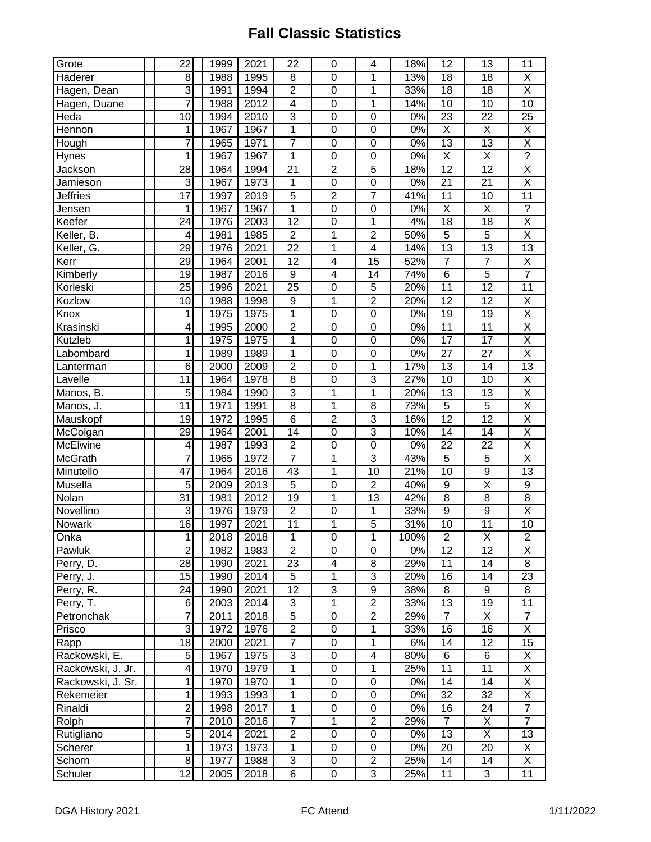## **Fall Classic Statistics**

| Grote             | $\overline{22}$         | 1999 | 2021 | 22                      | $\boldsymbol{0}$        | 4                       | 18%              | 12                      | 13                      | 11                      |
|-------------------|-------------------------|------|------|-------------------------|-------------------------|-------------------------|------------------|-------------------------|-------------------------|-------------------------|
| Haderer           | 8                       | 1988 | 1995 | 8                       | 0                       | 1                       | 13%              | 18                      | 18                      | X                       |
| Hagen, Dean       | $\overline{3}$          | 1991 | 1994 | $\overline{2}$          | $\overline{0}$          | $\overline{1}$          | 33%              | $\overline{18}$         | 18                      | $\overline{X}$          |
| Hagen, Duane      | 7                       | 1988 | 2012 | $\overline{4}$          | $\overline{0}$          | $\mathbf 1$             | 14%              | 10                      | 10                      | 10                      |
| Heda              | $\overline{10}$         | 1994 | 2010 | $\overline{3}$          | $\overline{0}$          | $\boldsymbol{0}$        | $0\%$            | $\overline{23}$         | $\overline{22}$         | $\overline{25}$         |
| Hennon            | 1                       | 1967 | 1967 | 1                       | $\boldsymbol{0}$        | $\boldsymbol{0}$        | $0\%$            | $\overline{X}$          | X                       | Χ                       |
| Hough             | 7                       | 1965 | 1971 | $\overline{7}$          | $\overline{0}$          | $\overline{0}$          | $0\%$            | $\overline{13}$         | 13                      | $\overline{\mathsf{x}}$ |
| Hynes             | 1                       | 1967 | 1967 | 1                       | $\boldsymbol{0}$        | $\boldsymbol{0}$        | $\overline{0\%}$ | $\overline{\mathsf{x}}$ | $\overline{\mathsf{X}}$ | $\overline{?}$          |
| Jackson           | $\overline{28}$         | 1964 | 1994 | $\overline{21}$         | $\overline{2}$          | $\overline{5}$          | 18%              | $\overline{12}$         | $\overline{12}$         | $\overline{\mathsf{X}}$ |
| Jamieson          | 3                       | 1967 | 1973 | 1                       | $\boldsymbol{0}$        | $\boldsymbol{0}$        | 0%               | 21                      | 21                      | $\overline{\mathsf{x}}$ |
| <b>Jeffries</b>   | 17                      | 1997 | 2019 | $\overline{5}$          | $\overline{2}$          | $\overline{7}$          | 41%              | 11                      | 10                      | $\overline{11}$         |
| Jensen            | 1                       | 1967 | 1967 | $\mathbf 1$             | $\boldsymbol{0}$        | $\boldsymbol{0}$        | 0%               | $\overline{\mathsf{X}}$ | $\overline{X}$          | $\overline{?}$          |
| Keefer            | 24                      | 1976 | 2003 | 12                      | $\boldsymbol{0}$        | $\mathbf{1}$            | 4%               | 18                      | 18                      | $\overline{X}$          |
| Keller, B.        | 4                       | 1981 | 1985 | $\overline{2}$          | $\mathbf{1}$            | $\overline{2}$          | 50%              | $\overline{5}$          | $\overline{5}$          | $\overline{\mathsf{X}}$ |
| Keller, G.        | $\overline{29}$         | 1976 | 2021 | 22                      | $\mathbf{1}$            | $\overline{\mathbf{4}}$ | 14%              | $\overline{13}$         | $\overline{13}$         | $\overline{13}$         |
| Kerr              | 29                      | 1964 | 2001 | 12                      | $\overline{4}$          | 15                      | 52%              | $\overline{7}$          | $\overline{7}$          | $\overline{\mathsf{x}}$ |
| Kimberly          | 19                      | 1987 | 2016 | $\boldsymbol{9}$        | $\overline{\mathbf{4}}$ | 14                      | 74%              | $\overline{6}$          | $\overline{5}$          | $\overline{7}$          |
| Korleski          | $\overline{25}$         | 1996 | 2021 | 25                      | $\boldsymbol{0}$        | 5                       | 20%              | $\overline{11}$         | $\overline{12}$         | $\overline{11}$         |
| Kozlow            | 10                      | 1988 | 1998 | $\boldsymbol{9}$        | $\mathbf{1}$            | $\overline{2}$          | 20%              | 12                      | 12                      | Χ                       |
| Knox              | 1                       | 1975 | 1975 | $\overline{1}$          | $\overline{0}$          | $\boldsymbol{0}$        | $0\%$            | 19                      | 19                      | $\overline{\mathsf{X}}$ |
| Krasinski         | 4                       | 1995 | 2000 | $\overline{2}$          | $\boldsymbol{0}$        | $\boldsymbol{0}$        | 0%               | 11                      | 11                      | $\overline{X}$          |
| Kutzleb           | 1                       | 1975 | 1975 | $\mathbf 1$             | $\boldsymbol{0}$        | $\boldsymbol{0}$        | 0%               | $\overline{17}$         | $\overline{17}$         | $\overline{X}$          |
| Labombard         | 1                       | 1989 | 1989 | 1                       | $\boldsymbol{0}$        | $\boldsymbol{0}$        | $0\%$            | $\overline{27}$         | $\overline{27}$         | $\overline{\mathsf{X}}$ |
|                   | $\overline{6}$          | 2000 | 2009 | $\overline{2}$          | $\overline{0}$          | $\overline{1}$          | 17%              | $\overline{13}$         | $\overline{14}$         | 13                      |
| Lanterman         |                         |      |      |                         |                         |                         |                  |                         |                         |                         |
| Lavelle           | 11                      | 1964 | 1978 | $\overline{8}$          | $\boldsymbol{0}$        | $\overline{3}$          | 27%              | 10                      | 10                      | $\overline{\mathsf{X}}$ |
| Manos, B.         | $\overline{5}$          | 1984 | 1990 | $\overline{3}$          | $\overline{1}$          | $\overline{1}$          | 20%              | $\overline{13}$         | $\overline{13}$         | $\overline{\mathsf{x}}$ |
| Manos, J.         | $\overline{11}$         | 1971 | 1991 | $\overline{8}$          | $\overline{1}$          | $\overline{8}$          | 73%              | $\overline{5}$          | $\overline{5}$          | $\overline{\mathsf{X}}$ |
| Mauskopf          | $\overline{19}$         | 1972 | 1995 | $\overline{6}$          | $\overline{2}$          | $\overline{3}$          | 16%              | 12                      | $\overline{12}$         | $\overline{\mathsf{x}}$ |
| McColgan          | 29                      | 1964 | 2001 | $\overline{14}$         | $\overline{0}$          | $\overline{3}$          | 10%              | 14                      | $\overline{14}$         | $\overline{\mathsf{x}}$ |
| McElwine          | $\overline{\mathbf{4}}$ | 1987 | 1993 | $\overline{2}$          | $\overline{0}$          | $\overline{0}$          | $0\%$            | $\overline{22}$         | $\overline{22}$         | $\overline{\mathsf{x}}$ |
| McGrath           | 7                       | 1965 | 1972 | $\overline{7}$          | $\mathbf{1}$            | $\overline{3}$          | 43%              | $\overline{5}$          | $\overline{5}$          | $\overline{\mathsf{x}}$ |
| Minutello         | 47                      | 1964 | 2016 | 43                      | $\overline{1}$          | 10                      | 21%              | 10                      | $\overline{9}$          | 13                      |
| Musella           | $\overline{5}$          | 2009 | 2013 | $\overline{5}$          | $\overline{0}$          | $\overline{2}$          | 40%              | 9                       | $\overline{\mathsf{X}}$ | $\overline{9}$          |
| Nolan             | $\overline{31}$         | 1981 | 2012 | 19                      | $\overline{1}$          | $\overline{13}$         | 42%              | $\overline{8}$          | $\overline{8}$          | $\overline{8}$          |
| Novellino         | $\overline{3}$          | 1976 | 1979 | $\overline{2}$          | $\mathbf 0$             | 1                       | 33%              | $\overline{9}$          | $\overline{9}$          | $\overline{\mathsf{X}}$ |
| Nowark            | 16                      | 1997 | 2021 | $\overline{11}$         | $\overline{1}$          | $\overline{5}$          | 31%              | 10                      | 11                      | 10                      |
| Onka              | 1                       | 2018 | 2018 | 1                       | 0                       | 1                       | 100%             | 2                       | X                       | 2                       |
| Pawluk            | $\overline{2}$          | 1982 | 1983 | $\overline{2}$          | $\boldsymbol{0}$        | 0                       | 0%               | 12                      | 12                      | Χ                       |
| Perry, D.         | 28                      | 1990 | 2021 | 23                      | 4                       | 8                       | 29%              | 11                      | 14                      | 8                       |
| Perry, J.         | 15                      | 1990 | 2014 | 5                       | 1                       | 3                       | 20%              | 16                      | 14                      | 23                      |
| Perry, R.         | 24                      | 1990 | 2021 | 12                      | 3                       | 9                       | 38%              | 8                       | 9                       | 8                       |
| Perry, T.         | $6 \mid$                | 2003 | 2014 | 3                       | $\mathbf{1}$            | $\overline{2}$          | 33%              | 13                      | 19                      | 11                      |
| Petronchak        | 7                       | 2011 | 2018 | 5                       | 0                       | $\overline{2}$          | 29%              | $\overline{7}$          | X                       | $\overline{7}$          |
| Prisco            | $\mathbf{3}$            | 1972 | 1976 | $\overline{2}$          | $\mathbf 0$             | $\mathbf{1}$            | 33%              | 16                      | 16                      | $\overline{\mathsf{X}}$ |
| Rapp              | 18                      | 2000 | 2021 | $\overline{7}$          | $\mathbf 0$             | $\mathbf{1}$            | 6%               | 14                      | 12                      | 15                      |
| Rackowski, E.     | 5 <sup>1</sup>          | 1967 | 1975 | 3                       | 0                       | 4                       | 80%              | 6                       | 6                       | $\overline{X}$          |
| Rackowski, J. Jr. | 4                       | 1970 | 1979 | 1                       | $\mathbf 0$             | $\mathbf{1}$            | 25%              | 11                      | 11                      | $\overline{X}$          |
| Rackowski, J. Sr. | 1                       | 1970 | 1970 | 1                       | 0                       | 0                       | 0%               | 14                      | 14                      | Χ                       |
| Rekemeier         | 1                       | 1993 | 1993 | $\overline{1}$          | $\mathsf 0$             | 0                       | 0%               | 32                      | 32                      | $\overline{\mathsf{X}}$ |
| Rinaldi           | $\overline{2}$          | 1998 | 2017 | $\mathbf{1}$            | 0                       | 0                       | 0%               | 16                      | 24                      | $\overline{7}$          |
| Rolph             | $\overline{7}$          | 2010 | 2016 | $\overline{7}$          | $\mathbf{1}$            | $\overline{c}$          | 29%              | $\overline{7}$          | X                       | $\overline{7}$          |
| Rutigliano        | $\overline{5}$          | 2014 | 2021 | $\overline{\mathbf{c}}$ | 0                       | $\mathbf 0$             | 0%               | 13                      | X                       | 13                      |
| Scherer           | 1                       | 1973 | 1973 | $\mathbf 1$             | $\pmb{0}$               | 0                       | $\overline{0\%}$ | 20                      | 20                      | X                       |
| Schorn            | $\overline{8}$          | 1977 | 1988 | 3                       | 0                       | $\overline{c}$          | 25%              | 14                      | 14                      | X                       |
| Schuler           | 12                      | 2005 | 2018 | 6                       | 0                       | 3                       | 25%              | 11                      | 3                       | 11                      |